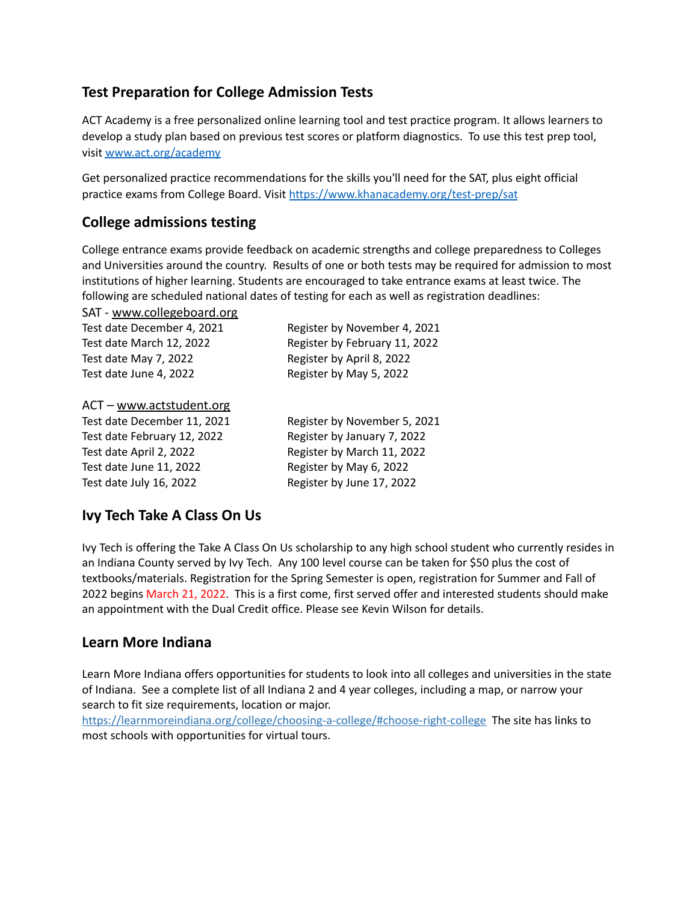## **Test Preparation for College Admission Tests**

ACT Academy is a free personalized online learning tool and test practice program. It allows learners to develop a study plan based on previous test scores or platform diagnostics. To use this test prep tool, visit [www.act.org/academy](http://www.act.org/academy)

Get personalized practice recommendations for the skills you'll need for the SAT, plus eight official practice exams from College Board. Visit <https://www.khanacademy.org/test-prep/sat>

### **College admissions testing**

College entrance exams provide feedback on academic strengths and college preparedness to Colleges and Universities around the country. Results of one or both tests may be required for admission to most institutions of higher learning. Students are encouraged to take entrance exams at least twice. The following are scheduled national dates of testing for each as well as registration deadlines:

SAT - [www.collegeboard.org](http://www.collegeboard.org/)

| Test date December 4, 2021 | Register by November 4, 2021  |
|----------------------------|-------------------------------|
| Test date March 12, 2022   | Register by February 11, 2022 |
| Test date May 7, 2022      | Register by April 8, 2022     |
| Test date June 4, 2022     | Register by May 5, 2022       |
|                            |                               |

#### ACT – [www.actstudent.org](http://www.actstudent.org/)

Test date February 12, 2022 Register by January 7, 2022 Test date April 2, 2022 Register by March 11, 2022 Test date June 11, 2022 Register by May 6, 2022 Test date July 16, 2022 Register by June 17, 2022

Test date December 11, 2021 Register by November 5, 2021

### **Ivy Tech Take A Class On Us**

Ivy Tech is offering the Take A Class On Us scholarship to any high school student who currently resides in an Indiana County served by Ivy Tech. Any 100 level course can be taken for \$50 plus the cost of textbooks/materials. Registration for the Spring Semester is open, registration for Summer and Fall of 2022 begins March 21, 2022. This is a first come, first served offer and interested students should make an appointment with the Dual Credit office. Please see Kevin Wilson for details.

### **Learn More Indiana**

Learn More Indiana offers opportunities for students to look into all colleges and universities in the state of Indiana. See a complete list of all Indiana 2 and 4 year colleges, including a map, or narrow your search to fit size requirements, location or major.

<https://learnmoreindiana.org/college/choosing-a-college/#choose-right-college> The site has links to most schools with opportunities for virtual tours.